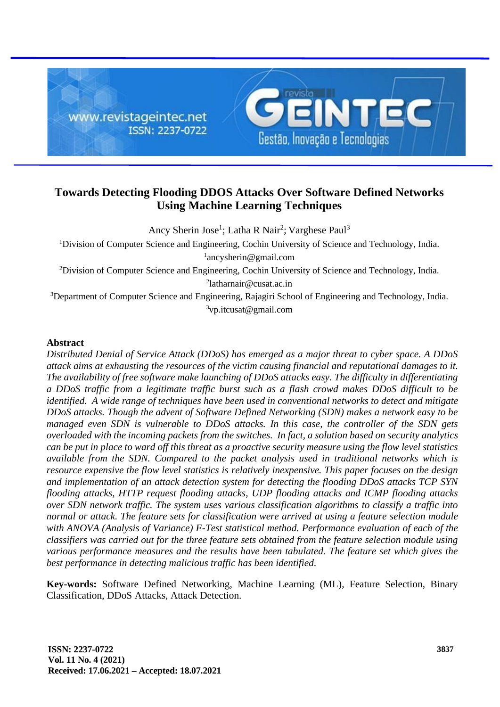

# **Towards Detecting Flooding DDOS Attacks Over Software Defined Networks Using Machine Learning Techniques**

Ancy Sherin Jose<sup>1</sup>; Latha R Nair<sup>2</sup>; Varghese Paul<sup>3</sup> <sup>1</sup>Division of Computer Science and Engineering, Cochin University of Science and Technology, India. ancysherin@gmail.com Division of Computer Science and Engineering, Cochin University of Science and Technology, India. latharnair@cusat.ac.in Department of Computer Science and Engineering, Rajagiri School of Engineering and Technology, India. vp.itcusat@gmail.com

## **Abstract**

*Distributed Denial of Service Attack (DDoS) has emerged as a major threat to cyber space. A DDoS attack aims at exhausting the resources of the victim causing financial and reputational damages to it. The availability of free software make launching of DDoS attacks easy. The difficulty in differentiating a DDoS traffic from a legitimate traffic burst such as a flash crowd makes DDoS difficult to be identified. A wide range of techniques have been used in conventional networks to detect and mitigate DDoS attacks. Though the advent of Software Defined Networking (SDN) makes a network easy to be managed even SDN is vulnerable to DDoS attacks. In this case, the controller of the SDN gets overloaded with the incoming packets from the switches. In fact, a solution based on security analytics can be put in place to ward off this threat as a proactive security measure using the flow level statistics available from the SDN. Compared to the packet analysis used in traditional networks which is resource expensive the flow level statistics is relatively inexpensive. This paper focuses on the design and implementation of an attack detection system for detecting the flooding DDoS attacks TCP SYN flooding attacks, HTTP request flooding attacks, UDP flooding attacks and ICMP flooding attacks over SDN network traffic. The system uses various classification algorithms to classify a traffic into normal or attack. The feature sets for classification were arrived at using a feature selection module with ANOVA (Analysis of Variance) F-Test statistical method. Performance evaluation of each of the classifiers was carried out for the three feature sets obtained from the feature selection module using various performance measures and the results have been tabulated. The feature set which gives the best performance in detecting malicious traffic has been identified.*

**Key-words:** Software Defined Networking, Machine Learning (ML), Feature Selection, Binary Classification, DDoS Attacks, Attack Detection.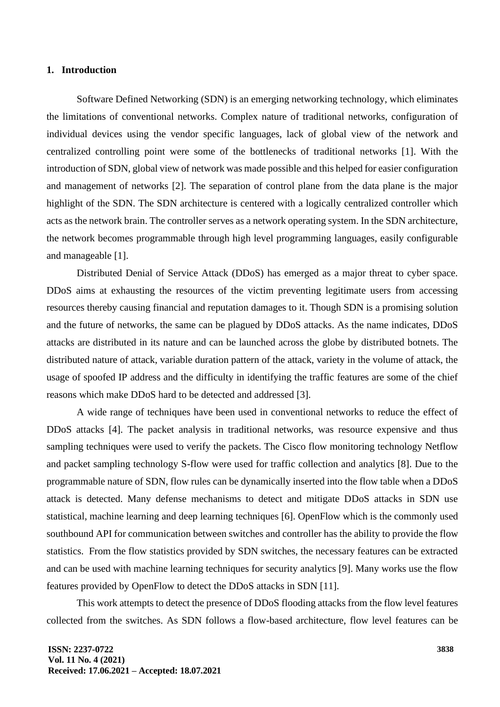## **1. Introduction**

Software Defined Networking (SDN) is an emerging networking technology, which eliminates the limitations of conventional networks. Complex nature of traditional networks, configuration of individual devices using the vendor specific languages, lack of global view of the network and centralized controlling point were some of the bottlenecks of traditional networks [1]. With the introduction of SDN, global view of network was made possible and this helped for easier configuration and management of networks [2]. The separation of control plane from the data plane is the major highlight of the SDN. The SDN architecture is centered with a logically centralized controller which acts as the network brain. The controller serves as a network operating system. In the SDN architecture, the network becomes programmable through high level programming languages, easily configurable and manageable [1].

Distributed Denial of Service Attack (DDoS) has emerged as a major threat to cyber space. DDoS aims at exhausting the resources of the victim preventing legitimate users from accessing resources thereby causing financial and reputation damages to it. Though SDN is a promising solution and the future of networks, the same can be plagued by DDoS attacks. As the name indicates, DDoS attacks are distributed in its nature and can be launched across the globe by distributed botnets. The distributed nature of attack, variable duration pattern of the attack, variety in the volume of attack, the usage of spoofed IP address and the difficulty in identifying the traffic features are some of the chief reasons which make DDoS hard to be detected and addressed [3].

A wide range of techniques have been used in conventional networks to reduce the effect of DDoS attacks [4]. The packet analysis in traditional networks, was resource expensive and thus sampling techniques were used to verify the packets. The Cisco flow monitoring technology Netflow and packet sampling technology S-flow were used for traffic collection and analytics [8]. Due to the programmable nature of SDN, flow rules can be dynamically inserted into the flow table when a DDoS attack is detected. Many defense mechanisms to detect and mitigate DDoS attacks in SDN use statistical, machine learning and deep learning techniques [6]. OpenFlow which is the commonly used southbound API for communication between switches and controller has the ability to provide the flow statistics. From the flow statistics provided by SDN switches, the necessary features can be extracted and can be used with machine learning techniques for security analytics [9]. Many works use the flow features provided by OpenFlow to detect the DDoS attacks in SDN [11].

This work attempts to detect the presence of DDoS flooding attacks from the flow level features collected from the switches. As SDN follows a flow-based architecture, flow level features can be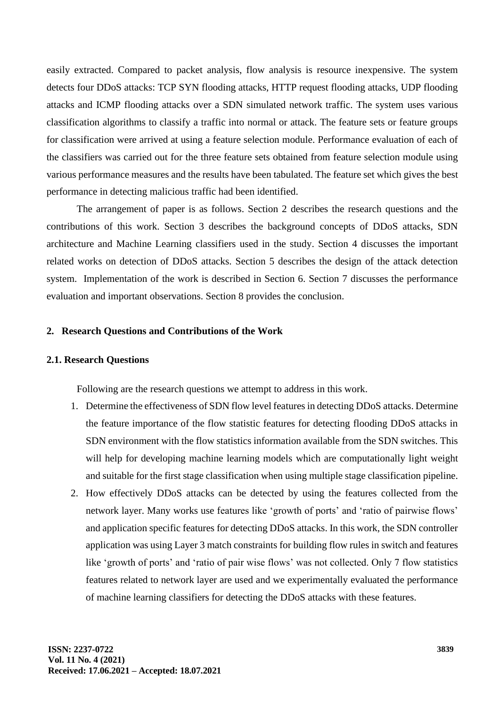easily extracted. Compared to packet analysis, flow analysis is resource inexpensive. The system detects four DDoS attacks: TCP SYN flooding attacks, HTTP request flooding attacks, UDP flooding attacks and ICMP flooding attacks over a SDN simulated network traffic. The system uses various classification algorithms to classify a traffic into normal or attack. The feature sets or feature groups for classification were arrived at using a feature selection module. Performance evaluation of each of the classifiers was carried out for the three feature sets obtained from feature selection module using various performance measures and the results have been tabulated. The feature set which gives the best performance in detecting malicious traffic had been identified.

The arrangement of paper is as follows. Section 2 describes the research questions and the contributions of this work. Section 3 describes the background concepts of DDoS attacks, SDN architecture and Machine Learning classifiers used in the study. Section 4 discusses the important related works on detection of DDoS attacks. Section 5 describes the design of the attack detection system. Implementation of the work is described in Section 6. Section 7 discusses the performance evaluation and important observations. Section 8 provides the conclusion.

## **2. Research Questions and Contributions of the Work**

## **2.1. Research Questions**

Following are the research questions we attempt to address in this work.

- 1. Determine the effectiveness of SDN flow level features in detecting DDoS attacks. Determine the feature importance of the flow statistic features for detecting flooding DDoS attacks in SDN environment with the flow statistics information available from the SDN switches. This will help for developing machine learning models which are computationally light weight and suitable for the first stage classification when using multiple stage classification pipeline.
- 2. How effectively DDoS attacks can be detected by using the features collected from the network layer. Many works use features like 'growth of ports' and 'ratio of pairwise flows' and application specific features for detecting DDoS attacks. In this work, the SDN controller application was using Layer 3 match constraints for building flow rules in switch and features like 'growth of ports' and 'ratio of pair wise flows' was not collected. Only 7 flow statistics features related to network layer are used and we experimentally evaluated the performance of machine learning classifiers for detecting the DDoS attacks with these features.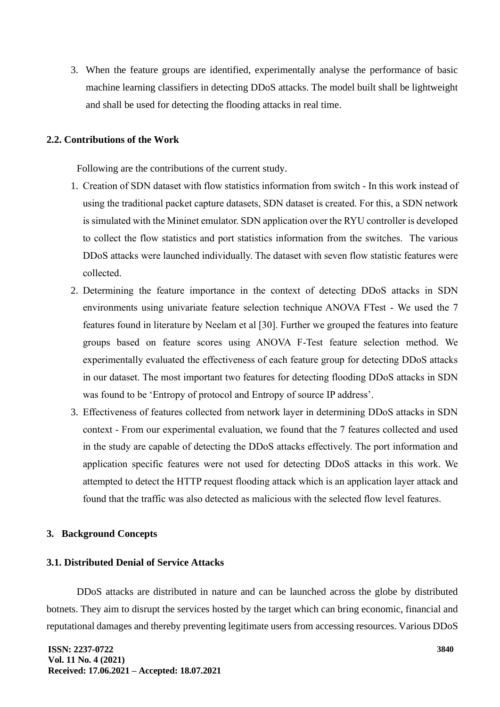3. When the feature groups are identified, experimentally analyse the performance of basic machine learning classifiers in detecting DDoS attacks. The model built shall be lightweight and shall be used for detecting the flooding attacks in real time.

## **2.2. Contributions of the Work**

Following are the contributions of the current study.

- 1. Creation of SDN dataset with flow statistics information from switch In this work instead of using the traditional packet capture datasets, SDN dataset is created. For this, a SDN network is simulated with the Mininet emulator. SDN application over the RYU controller is developed to collect the flow statistics and port statistics information from the switches. The various DDoS attacks were launched individually. The dataset with seven flow statistic features were collected.
- 2. Determining the feature importance in the context of detecting DDoS attacks in SDN environments using univariate feature selection technique ANOVA FTest - We used the 7 features found in literature by Neelam et al [30]. Further we grouped the features into feature groups based on feature scores using ANOVA F-Test feature selection method. We experimentally evaluated the effectiveness of each feature group for detecting DDoS attacks in our dataset. The most important two features for detecting flooding DDoS attacks in SDN was found to be 'Entropy of protocol and Entropy of source IP address'.
- 3. Effectiveness of features collected from network layer in determining DDoS attacks in SDN context - From our experimental evaluation, we found that the 7 features collected and used in the study are capable of detecting the DDoS attacks effectively. The port information and application specific features were not used for detecting DDoS attacks in this work. We attempted to detect the HTTP request flooding attack which is an application layer attack and found that the traffic was also detected as malicious with the selected flow level features.

## **3. Background Concepts**

## **3.1. Distributed Denial of Service Attacks**

DDoS attacks are distributed in nature and can be launched across the globe by distributed botnets. They aim to disrupt the services hosted by the target which can bring economic, financial and reputational damages and thereby preventing legitimate users from accessing resources. Various DDoS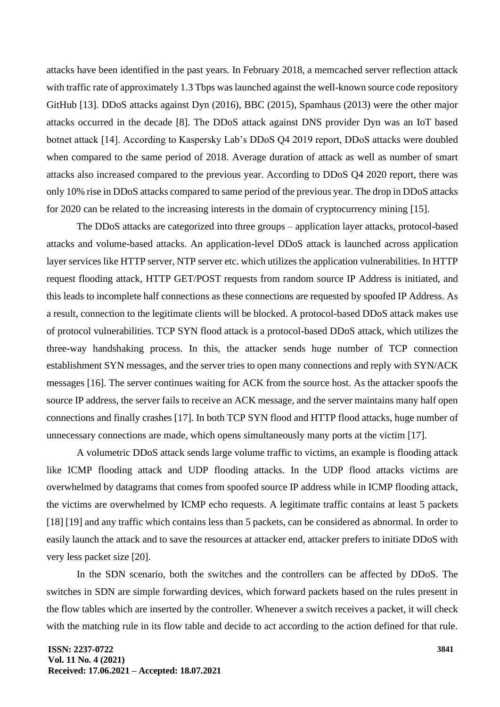attacks have been identified in the past years. In February 2018, a memcached server reflection attack with traffic rate of approximately 1.3 Tbps was launched against the well-known source code repository GitHub [13]. DDoS attacks against Dyn (2016), BBC (2015), Spamhaus (2013) were the other major attacks occurred in the decade [8]. The DDoS attack against DNS provider Dyn was an IoT based botnet attack [14]. According to Kaspersky Lab's DDoS Q4 2019 report, DDoS attacks were doubled when compared to the same period of 2018. Average duration of attack as well as number of smart attacks also increased compared to the previous year. According to DDoS Q4 2020 report, there was only 10% rise in DDoS attacks compared to same period of the previous year. The drop in DDoS attacks for 2020 can be related to the increasing interests in the domain of cryptocurrency mining [15].

The DDoS attacks are categorized into three groups – application layer attacks, protocol-based attacks and volume-based attacks. An application-level DDoS attack is launched across application layer services like HTTP server, NTP server etc. which utilizes the application vulnerabilities. In HTTP request flooding attack, HTTP GET/POST requests from random source IP Address is initiated, and this leads to incomplete half connections as these connections are requested by spoofed IP Address. As a result, connection to the legitimate clients will be blocked. A protocol-based DDoS attack makes use of protocol vulnerabilities. TCP SYN flood attack is a protocol-based DDoS attack, which utilizes the three-way handshaking process. In this, the attacker sends huge number of TCP connection establishment SYN messages, and the server tries to open many connections and reply with SYN/ACK messages [16]. The server continues waiting for ACK from the source host. As the attacker spoofs the source IP address, the server fails to receive an ACK message, and the server maintains many half open connections and finally crashes [17]. In both TCP SYN flood and HTTP flood attacks, huge number of unnecessary connections are made, which opens simultaneously many ports at the victim [17].

A volumetric DDoS attack sends large volume traffic to victims, an example is flooding attack like ICMP flooding attack and UDP flooding attacks. In the UDP flood attacks victims are overwhelmed by datagrams that comes from spoofed source IP address while in ICMP flooding attack, the victims are overwhelmed by ICMP echo requests. A legitimate traffic contains at least 5 packets [18] [19] and any traffic which contains less than 5 packets, can be considered as abnormal. In order to easily launch the attack and to save the resources at attacker end, attacker prefers to initiate DDoS with very less packet size [20].

In the SDN scenario, both the switches and the controllers can be affected by DDoS. The switches in SDN are simple forwarding devices, which forward packets based on the rules present in the flow tables which are inserted by the controller. Whenever a switch receives a packet, it will check with the matching rule in its flow table and decide to act according to the action defined for that rule.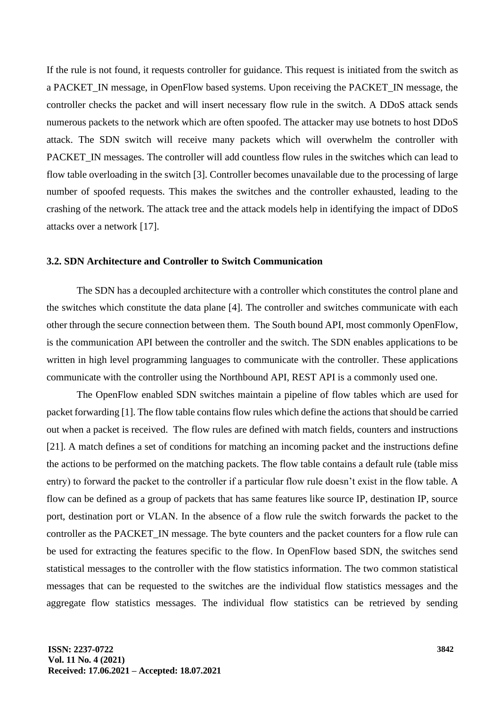If the rule is not found, it requests controller for guidance. This request is initiated from the switch as a PACKET\_IN message, in OpenFlow based systems. Upon receiving the PACKET\_IN message, the controller checks the packet and will insert necessary flow rule in the switch. A DDoS attack sends numerous packets to the network which are often spoofed. The attacker may use botnets to host DDoS attack. The SDN switch will receive many packets which will overwhelm the controller with PACKET. IN messages. The controller will add countless flow rules in the switches which can lead to flow table overloading in the switch [3]. Controller becomes unavailable due to the processing of large number of spoofed requests. This makes the switches and the controller exhausted, leading to the crashing of the network. The attack tree and the attack models help in identifying the impact of DDoS attacks over a network [17].

### **3.2. SDN Architecture and Controller to Switch Communication**

The SDN has a decoupled architecture with a controller which constitutes the control plane and the switches which constitute the data plane [4]. The controller and switches communicate with each other through the secure connection between them. The South bound API, most commonly OpenFlow, is the communication API between the controller and the switch. The SDN enables applications to be written in high level programming languages to communicate with the controller. These applications communicate with the controller using the Northbound API, REST API is a commonly used one.

The OpenFlow enabled SDN switches maintain a pipeline of flow tables which are used for packet forwarding [1]. The flow table contains flow rules which define the actions that should be carried out when a packet is received. The flow rules are defined with match fields, counters and instructions [21]. A match defines a set of conditions for matching an incoming packet and the instructions define the actions to be performed on the matching packets. The flow table contains a default rule (table miss entry) to forward the packet to the controller if a particular flow rule doesn't exist in the flow table. A flow can be defined as a group of packets that has same features like source IP, destination IP, source port, destination port or VLAN. In the absence of a flow rule the switch forwards the packet to the controller as the PACKET\_IN message. The byte counters and the packet counters for a flow rule can be used for extracting the features specific to the flow. In OpenFlow based SDN, the switches send statistical messages to the controller with the flow statistics information. The two common statistical messages that can be requested to the switches are the individual flow statistics messages and the aggregate flow statistics messages. The individual flow statistics can be retrieved by sending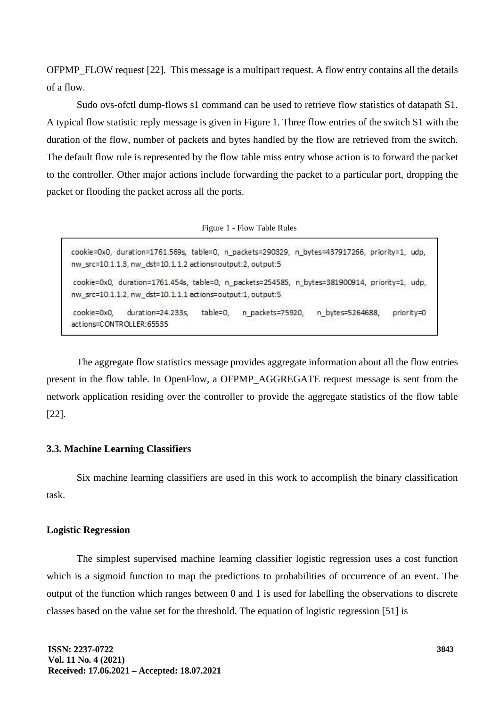OFPMP\_FLOW request [22]. This message is a multipart request. A flow entry contains all the details of a flow.

Sudo ovs-ofctl dump-flows s1 command can be used to retrieve flow statistics of datapath S1. A typical flow statistic reply message is given in Figure 1. Three flow entries of the switch S1 with the duration of the flow, number of packets and bytes handled by the flow are retrieved from the switch. The default flow rule is represented by the flow table miss entry whose action is to forward the packet to the controller. Other major actions include forwarding the packet to a particular port, dropping the packet or flooding the packet across all the ports.

|  |  | Figure 1 - Flow Table Rules |  |  |
|--|--|-----------------------------|--|--|
|--|--|-----------------------------|--|--|

cookie=0x0, duration=1761.569s, table=0, n packets=290329, n bytes=437917266, priority=1, udp, nw\_src=10.1.1.3, nw\_dst=10.1.1.2 actions=output:2, output:5 cookie=0x0, duration=1761.454s, table=0, n packets=254585, n bytes=381900914, priority=1, udp, nw\_src=10.1.1.2, nw\_dst=10.1.1.1 actions=output:1, output:5 duration=24.233s, table=0, n packets=75920, n bytes=5264688, cookie=0x0. priority=0 actions=CONTROLLER:65535

The aggregate flow statistics message provides aggregate information about all the flow entries present in the flow table. In OpenFlow, a OFPMP\_AGGREGATE request message is sent from the network application residing over the controller to provide the aggregate statistics of the flow table [22].

## **3.3. Machine Learning Classifiers**

Six machine learning classifiers are used in this work to accomplish the binary classification task.

## **Logistic Regression**

The simplest supervised machine learning classifier logistic regression uses a cost function which is a sigmoid function to map the predictions to probabilities of occurrence of an event. The output of the function which ranges between 0 and 1 is used for labelling the observations to discrete classes based on the value set for the threshold. The equation of logistic regression [51] is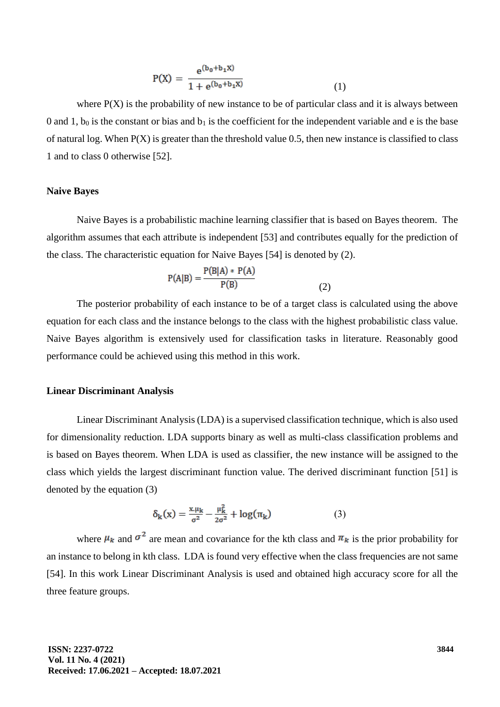$$
P(X) = \frac{e^{(b_0 + b_1 X)}}{1 + e^{(b_0 + b_1 X)}}
$$
(1)

where  $P(X)$  is the probability of new instance to be of particular class and it is always between 0 and 1,  $b_0$  is the constant or bias and  $b_1$  is the coefficient for the independent variable and e is the base of natural log. When  $P(X)$  is greater than the threshold value 0.5, then new instance is classified to class 1 and to class 0 otherwise [52].

## **Naive Bayes**

Naive Bayes is a probabilistic machine learning classifier that is based on Bayes theorem. The algorithm assumes that each attribute is independent [53] and contributes equally for the prediction of the class. The characteristic equation for Naive Bayes [54] is denoted by (2).

$$
P(A|B) = \frac{P(B|A) * P(A)}{P(B)}
$$
(2)

The posterior probability of each instance to be of a target class is calculated using the above equation for each class and the instance belongs to the class with the highest probabilistic class value. Naive Bayes algorithm is extensively used for classification tasks in literature. Reasonably good performance could be achieved using this method in this work.

## **Linear Discriminant Analysis**

Linear Discriminant Analysis (LDA) is a supervised classification technique, which is also used for dimensionality reduction. LDA supports binary as well as multi-class classification problems and is based on Bayes theorem. When LDA is used as classifier, the new instance will be assigned to the class which yields the largest discriminant function value. The derived discriminant function [51] is denoted by the equation (3)

$$
\delta_{k}(x) = \frac{x \mu_{k}}{\sigma^{2}} - \frac{\mu_{k}^{2}}{2\sigma^{2}} + \log(\pi_{k})
$$
 (3)

where  $\mu_k$  and  $\sigma^2$  are mean and covariance for the kth class and  $\pi_k$  is the prior probability for an instance to belong in kth class. LDA is found very effective when the class frequencies are not same [54]. In this work Linear Discriminant Analysis is used and obtained high accuracy score for all the three feature groups.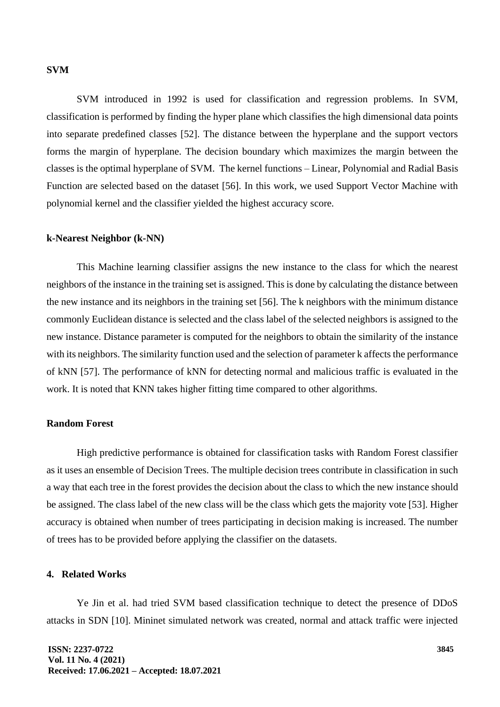## **SVM**

SVM introduced in 1992 is used for classification and regression problems. In SVM, classification is performed by finding the hyper plane which classifies the high dimensional data points into separate predefined classes [52]. The distance between the hyperplane and the support vectors forms the margin of hyperplane. The decision boundary which maximizes the margin between the classes is the optimal hyperplane of SVM. The kernel functions – Linear, Polynomial and Radial Basis Function are selected based on the dataset [56]. In this work, we used Support Vector Machine with polynomial kernel and the classifier yielded the highest accuracy score.

#### **k-Nearest Neighbor (k-NN)**

This Machine learning classifier assigns the new instance to the class for which the nearest neighbors of the instance in the training set is assigned. This is done by calculating the distance between the new instance and its neighbors in the training set [56]. The k neighbors with the minimum distance commonly Euclidean distance is selected and the class label of the selected neighbors is assigned to the new instance. Distance parameter is computed for the neighbors to obtain the similarity of the instance with its neighbors. The similarity function used and the selection of parameter k affects the performance of kNN [57]. The performance of kNN for detecting normal and malicious traffic is evaluated in the work. It is noted that KNN takes higher fitting time compared to other algorithms.

## **Random Forest**

High predictive performance is obtained for classification tasks with Random Forest classifier as it uses an ensemble of Decision Trees. The multiple decision trees contribute in classification in such a way that each tree in the forest provides the decision about the class to which the new instance should be assigned. The class label of the new class will be the class which gets the majority vote [53]. Higher accuracy is obtained when number of trees participating in decision making is increased. The number of trees has to be provided before applying the classifier on the datasets.

## **4. Related Works**

Ye Jin et al. had tried SVM based classification technique to detect the presence of DDoS attacks in SDN [10]. Mininet simulated network was created, normal and attack traffic were injected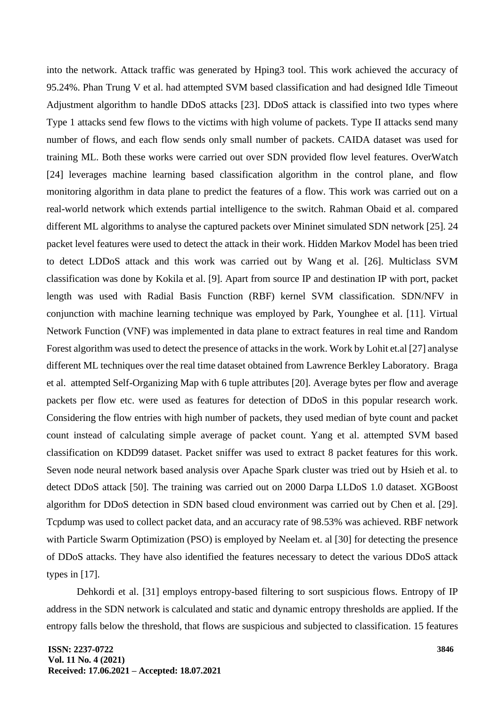into the network. Attack traffic was generated by Hping3 tool. This work achieved the accuracy of 95.24%. Phan Trung V et al. had attempted SVM based classification and had designed Idle Timeout Adjustment algorithm to handle DDoS attacks [23]. DDoS attack is classified into two types where Type 1 attacks send few flows to the victims with high volume of packets. Type II attacks send many number of flows, and each flow sends only small number of packets. CAIDA dataset was used for training ML. Both these works were carried out over SDN provided flow level features. OverWatch [24] leverages machine learning based classification algorithm in the control plane, and flow monitoring algorithm in data plane to predict the features of a flow. This work was carried out on a real-world network which extends partial intelligence to the switch. Rahman Obaid et al. compared different ML algorithms to analyse the captured packets over Mininet simulated SDN network [25]. 24 packet level features were used to detect the attack in their work. Hidden Markov Model has been tried to detect LDDoS attack and this work was carried out by Wang et al. [26]. Multiclass SVM classification was done by Kokila et al. [9]. Apart from source IP and destination IP with port, packet length was used with Radial Basis Function (RBF) kernel SVM classification. SDN/NFV in conjunction with machine learning technique was employed by Park, Younghee et al. [11]. Virtual Network Function (VNF) was implemented in data plane to extract features in real time and Random Forest algorithm was used to detect the presence of attacks in the work. Work by Lohit et.al [27] analyse different ML techniques over the real time dataset obtained from Lawrence Berkley Laboratory. Braga et al. attempted Self-Organizing Map with 6 tuple attributes [20]. Average bytes per flow and average packets per flow etc. were used as features for detection of DDoS in this popular research work. Considering the flow entries with high number of packets, they used median of byte count and packet count instead of calculating simple average of packet count. Yang et al. attempted SVM based classification on KDD99 dataset. Packet sniffer was used to extract 8 packet features for this work. Seven node neural network based analysis over Apache Spark cluster was tried out by Hsieh et al. to detect DDoS attack [50]. The training was carried out on 2000 Darpa LLDoS 1.0 dataset. XGBoost algorithm for DDoS detection in SDN based cloud environment was carried out by Chen et al. [29]. Tcpdump was used to collect packet data, and an accuracy rate of 98.53% was achieved. RBF network with Particle Swarm Optimization (PSO) is employed by Neelam et. al [30] for detecting the presence of DDoS attacks. They have also identified the features necessary to detect the various DDoS attack types in [17].

Dehkordi et al. [31] employs entropy-based filtering to sort suspicious flows. Entropy of IP address in the SDN network is calculated and static and dynamic entropy thresholds are applied. If the entropy falls below the threshold, that flows are suspicious and subjected to classification. 15 features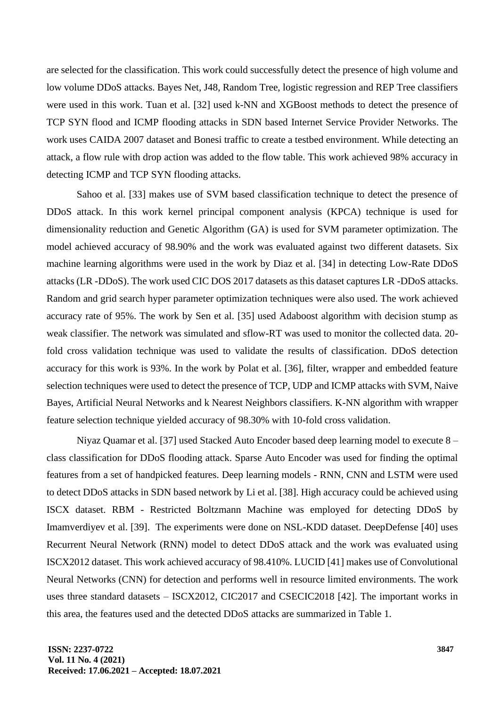are selected for the classification. This work could successfully detect the presence of high volume and low volume DDoS attacks. Bayes Net, J48, Random Tree, logistic regression and REP Tree classifiers were used in this work. Tuan et al. [32] used k-NN and XGBoost methods to detect the presence of TCP SYN flood and ICMP flooding attacks in SDN based Internet Service Provider Networks. The work uses CAIDA 2007 dataset and Bonesi traffic to create a testbed environment. While detecting an attack, a flow rule with drop action was added to the flow table. This work achieved 98% accuracy in detecting ICMP and TCP SYN flooding attacks.

Sahoo et al. [33] makes use of SVM based classification technique to detect the presence of DDoS attack. In this work kernel principal component analysis (KPCA) technique is used for dimensionality reduction and Genetic Algorithm (GA) is used for SVM parameter optimization. The model achieved accuracy of 98.90% and the work was evaluated against two different datasets. Six machine learning algorithms were used in the work by Diaz et al. [34] in detecting Low-Rate DDoS attacks (LR -DDoS). The work used CIC DOS 2017 datasets as this dataset captures LR -DDoS attacks. Random and grid search hyper parameter optimization techniques were also used. The work achieved accuracy rate of 95%. The work by Sen et al. [35] used Adaboost algorithm with decision stump as weak classifier. The network was simulated and sflow-RT was used to monitor the collected data. 20 fold cross validation technique was used to validate the results of classification. DDoS detection accuracy for this work is 93%. In the work by Polat et al. [36], filter, wrapper and embedded feature selection techniques were used to detect the presence of TCP, UDP and ICMP attacks with SVM, Naive Bayes, Artificial Neural Networks and k Nearest Neighbors classifiers. K-NN algorithm with wrapper feature selection technique yielded accuracy of 98.30% with 10-fold cross validation.

Niyaz Quamar et al. [37] used Stacked Auto Encoder based deep learning model to execute 8 – class classification for DDoS flooding attack. Sparse Auto Encoder was used for finding the optimal features from a set of handpicked features. Deep learning models - RNN, CNN and LSTM were used to detect DDoS attacks in SDN based network by Li et al. [38]. High accuracy could be achieved using ISCX dataset. RBM - Restricted Boltzmann Machine was employed for detecting DDoS by Imamverdiyev et al. [39]. The experiments were done on NSL-KDD dataset. DeepDefense [40] uses Recurrent Neural Network (RNN) model to detect DDoS attack and the work was evaluated using ISCX2012 dataset. This work achieved accuracy of 98.410%. LUCID [41] makes use of Convolutional Neural Networks (CNN) for detection and performs well in resource limited environments. The work uses three standard datasets – ISCX2012, CIC2017 and CSECIC2018 [42]. The important works in this area, the features used and the detected DDoS attacks are summarized in Table 1.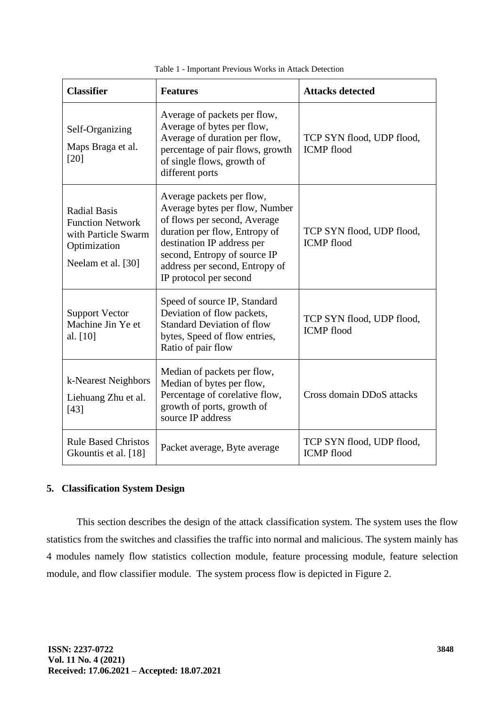| <b>Classifier</b>                                                                                           | <b>Features</b>                                                                                                                                                                                                                                        | <b>Attacks detected</b>                        |
|-------------------------------------------------------------------------------------------------------------|--------------------------------------------------------------------------------------------------------------------------------------------------------------------------------------------------------------------------------------------------------|------------------------------------------------|
| Self-Organizing<br>Maps Braga et al.<br>[20]                                                                | Average of packets per flow,<br>Average of bytes per flow,<br>Average of duration per flow,<br>percentage of pair flows, growth<br>of single flows, growth of<br>different ports                                                                       | TCP SYN flood, UDP flood,<br><b>ICMP</b> flood |
| <b>Radial Basis</b><br><b>Function Network</b><br>with Particle Swarm<br>Optimization<br>Neelam et al. [30] | Average packets per flow,<br>Average bytes per flow, Number<br>of flows per second, Average<br>duration per flow, Entropy of<br>destination IP address per<br>second, Entropy of source IP<br>address per second, Entropy of<br>IP protocol per second | TCP SYN flood, UDP flood,<br><b>ICMP</b> flood |
| <b>Support Vector</b><br>Machine Jin Ye et<br>al. $[10]$                                                    | Speed of source IP, Standard<br>Deviation of flow packets,<br><b>Standard Deviation of flow</b><br>bytes, Speed of flow entries,<br>Ratio of pair flow                                                                                                 | TCP SYN flood, UDP flood,<br><b>ICMP</b> flood |
| k-Nearest Neighbors<br>Liehuang Zhu et al.<br>[43]                                                          | Median of packets per flow,<br>Median of bytes per flow,<br>Percentage of corelative flow,<br>growth of ports, growth of<br>source IP address                                                                                                          | Cross domain DDoS attacks                      |
| <b>Rule Based Christos</b><br>Gkountis et al. [18]                                                          | Packet average, Byte average                                                                                                                                                                                                                           | TCP SYN flood, UDP flood,<br><b>ICMP</b> flood |

Table 1 - Important Previous Works in Attack Detection

## **5. Classification System Design**

This section describes the design of the attack classification system. The system uses the flow statistics from the switches and classifies the traffic into normal and malicious. The system mainly has 4 modules namely flow statistics collection module, feature processing module, feature selection module, and flow classifier module. The system process flow is depicted in Figure 2.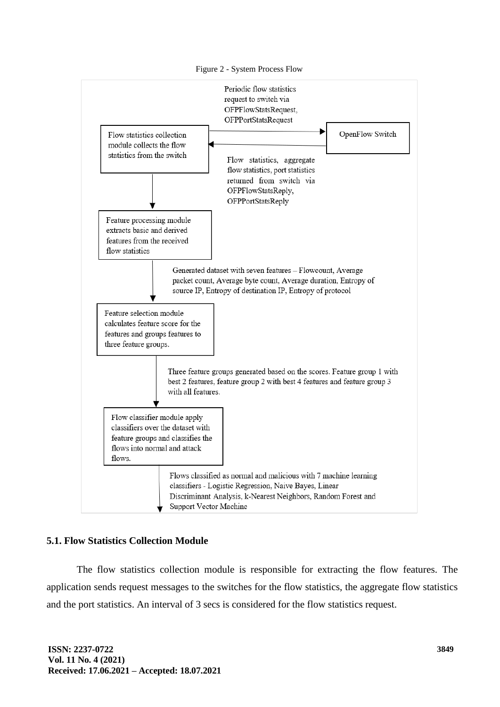

## **5.1. Flow Statistics Collection Module**

The flow statistics collection module is responsible for extracting the flow features. The application sends request messages to the switches for the flow statistics, the aggregate flow statistics and the port statistics. An interval of 3 secs is considered for the flow statistics request.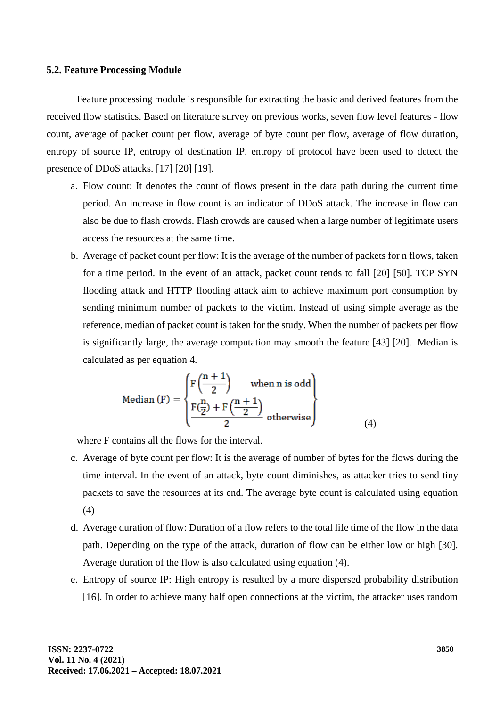#### **5.2. Feature Processing Module**

Feature processing module is responsible for extracting the basic and derived features from the received flow statistics. Based on literature survey on previous works, seven flow level features - flow count, average of packet count per flow, average of byte count per flow, average of flow duration, entropy of source IP, entropy of destination IP, entropy of protocol have been used to detect the presence of DDoS attacks. [17] [20] [19].

- a. Flow count: It denotes the count of flows present in the data path during the current time period. An increase in flow count is an indicator of DDoS attack. The increase in flow can also be due to flash crowds. Flash crowds are caused when a large number of legitimate users access the resources at the same time.
- b. Average of packet count per flow: It is the average of the number of packets for n flows, taken for a time period. In the event of an attack, packet count tends to fall [20] [50]. TCP SYN flooding attack and HTTP flooding attack aim to achieve maximum port consumption by sending minimum number of packets to the victim. Instead of using simple average as the reference, median of packet count is taken for the study. When the number of packets per flow is significantly large, the average computation may smooth the feature [43] [20]. Median is calculated as per equation 4.

Median (F) = 
$$
\begin{cases} F\left(\frac{n+1}{2}\right) & \text{when n is odd} \\ \frac{F\left(\frac{n}{2}\right) + F\left(\frac{n+1}{2}\right)}{2} & \text{otherwise} \end{cases}
$$
 (4)

where F contains all the flows for the interval.

- c. Average of byte count per flow: It is the average of number of bytes for the flows during the time interval. In the event of an attack, byte count diminishes, as attacker tries to send tiny packets to save the resources at its end. The average byte count is calculated using equation (4)
- d. Average duration of flow: Duration of a flow refers to the total life time of the flow in the data path. Depending on the type of the attack, duration of flow can be either low or high [30]. Average duration of the flow is also calculated using equation (4).
- e. Entropy of source IP: High entropy is resulted by a more dispersed probability distribution [16]. In order to achieve many half open connections at the victim, the attacker uses random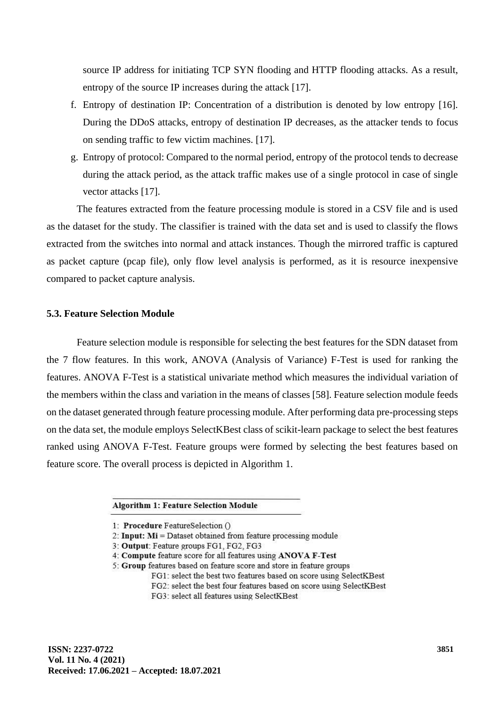source IP address for initiating TCP SYN flooding and HTTP flooding attacks. As a result, entropy of the source IP increases during the attack [17].

- f. Entropy of destination IP: Concentration of a distribution is denoted by low entropy [16]. During the DDoS attacks, entropy of destination IP decreases, as the attacker tends to focus on sending traffic to few victim machines. [17].
- g. Entropy of protocol: Compared to the normal period, entropy of the protocol tends to decrease during the attack period, as the attack traffic makes use of a single protocol in case of single vector attacks [17].

The features extracted from the feature processing module is stored in a CSV file and is used as the dataset for the study. The classifier is trained with the data set and is used to classify the flows extracted from the switches into normal and attack instances. Though the mirrored traffic is captured as packet capture (pcap file), only flow level analysis is performed, as it is resource inexpensive compared to packet capture analysis.

## **5.3. Feature Selection Module**

Feature selection module is responsible for selecting the best features for the SDN dataset from the 7 flow features. In this work, ANOVA (Analysis of Variance) F-Test is used for ranking the features. ANOVA F-Test is a statistical univariate method which measures the individual variation of the members within the class and variation in the means of classes [58]. Feature selection module feeds on the dataset generated through feature processing module. After performing data pre-processing steps on the data set, the module employs SelectKBest class of scikit-learn package to select the best features ranked using ANOVA F-Test. Feature groups were formed by selecting the best features based on feature score. The overall process is depicted in Algorithm 1.

**Algorithm 1: Feature Selection Module** 

<sup>1:</sup> Procedure FeatureSelection ()

<sup>2:</sup> Input:  $Mi$  = Dataset obtained from feature processing module

<sup>3:</sup> Output: Feature groups FG1, FG2, FG3

<sup>4:</sup> Compute feature score for all features using ANOVA F-Test

<sup>5:</sup> Group features based on feature score and store in feature groups

FG1: select the best two features based on score using SelectKBest

FG2: select the best four features based on score using SelectKBest

FG3: select all features using SelectKBest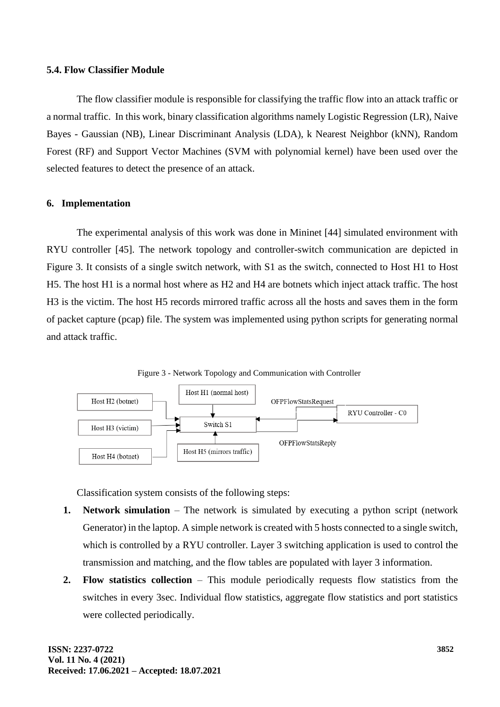#### **5.4. Flow Classifier Module**

The flow classifier module is responsible for classifying the traffic flow into an attack traffic or a normal traffic. In this work, binary classification algorithms namely Logistic Regression (LR), Naive Bayes - Gaussian (NB), Linear Discriminant Analysis (LDA), k Nearest Neighbor (kNN), Random Forest (RF) and Support Vector Machines (SVM with polynomial kernel) have been used over the selected features to detect the presence of an attack.

## **6. Implementation**

The experimental analysis of this work was done in Mininet [44] simulated environment with RYU controller [45]. The network topology and controller-switch communication are depicted in Figure 3. It consists of a single switch network, with S1 as the switch, connected to Host H1 to Host H5. The host H1 is a normal host where as H2 and H4 are botnets which inject attack traffic. The host H3 is the victim. The host H5 records mirrored traffic across all the hosts and saves them in the form of packet capture (pcap) file. The system was implemented using python scripts for generating normal and attack traffic.

Figure 3 - Network Topology and Communication with Controller



Classification system consists of the following steps:

- **1. Network simulation** The network is simulated by executing a python script (network Generator) in the laptop. A simple network is created with 5 hosts connected to a single switch, which is controlled by a RYU controller. Layer 3 switching application is used to control the transmission and matching, and the flow tables are populated with layer 3 information.
- **2. Flow statistics collection** This module periodically requests flow statistics from the switches in every 3sec. Individual flow statistics, aggregate flow statistics and port statistics were collected periodically.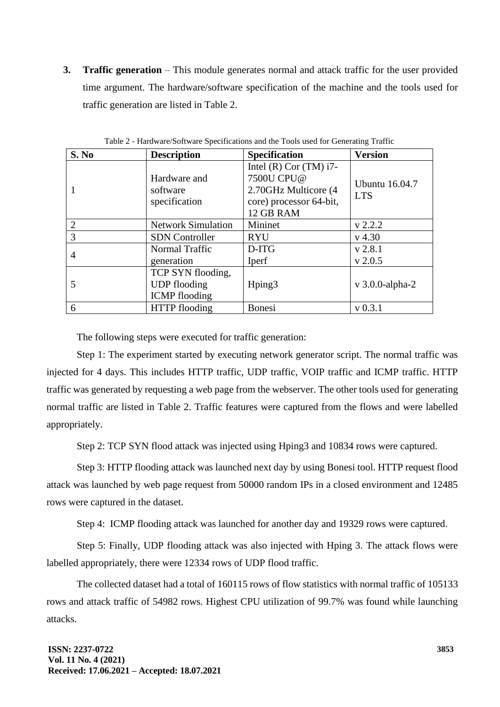**3. Traffic generation** – This module generates normal and attack traffic for the user provided time argument. The hardware/software specification of the machine and the tools used for traffic generation are listed in Table 2.

| S. No          | <b>Description</b>                                               | <b>Specification</b>                                                                                     | <b>Version</b>                      |
|----------------|------------------------------------------------------------------|----------------------------------------------------------------------------------------------------------|-------------------------------------|
|                | Hardware and<br>software<br>specification                        | Intel $(R)$ Cor $(TM)$ i7-<br>7500U CPU@<br>2.70GHz Multicore (4<br>core) processor 64-bit,<br>12 GB RAM | <b>Ubuntu</b> 16.04.7<br><b>LTS</b> |
| 2              | <b>Network Simulation</b>                                        | Mininet                                                                                                  | v 2.2.2                             |
| $\overline{3}$ | <b>SDN</b> Controller                                            | <b>RYU</b>                                                                                               | $v$ 4.30                            |
| $\overline{4}$ | Normal Traffic<br>generation                                     | D-ITG<br>Iperf                                                                                           | $v$ 2.8.1<br>$v$ 2.0.5              |
|                | TCP SYN flooding,<br><b>UDP</b> flooding<br><b>ICMP</b> flooding | Hping3                                                                                                   | $v$ 3.0.0-alpha-2                   |
| 6              | <b>HTTP</b> flooding                                             | <b>Bonesi</b>                                                                                            | $v$ 0.3.1                           |

Table 2 - Hardware/Software Specifications and the Tools used for Generating Traffic

The following steps were executed for traffic generation:

Step 1: The experiment started by executing network generator script. The normal traffic was injected for 4 days. This includes HTTP traffic, UDP traffic, VOIP traffic and ICMP traffic. HTTP traffic was generated by requesting a web page from the webserver. The other tools used for generating normal traffic are listed in Table 2. Traffic features were captured from the flows and were labelled appropriately.

Step 2: TCP SYN flood attack was injected using Hping3 and 10834 rows were captured.

Step 3: HTTP flooding attack was launched next day by using Bonesi tool. HTTP request flood attack was launched by web page request from 50000 random IPs in a closed environment and 12485 rows were captured in the dataset.

Step 4: ICMP flooding attack was launched for another day and 19329 rows were captured.

Step 5: Finally, UDP flooding attack was also injected with Hping 3. The attack flows were labelled appropriately, there were 12334 rows of UDP flood traffic.

The collected dataset had a total of 160115 rows of flow statistics with normal traffic of 105133 rows and attack traffic of 54982 rows. Highest CPU utilization of 99.7% was found while launching attacks.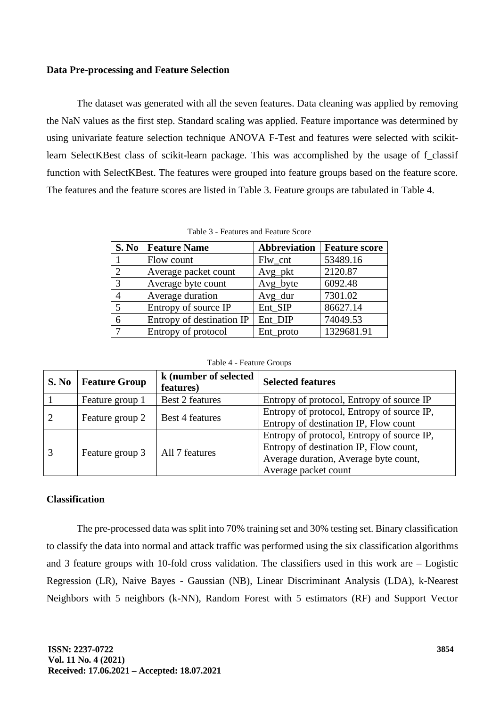## **Data Pre-processing and Feature Selection**

The dataset was generated with all the seven features. Data cleaning was applied by removing the NaN values as the first step. Standard scaling was applied. Feature importance was determined by using univariate feature selection technique ANOVA F-Test and features were selected with scikitlearn SelectKBest class of scikit-learn package. This was accomplished by the usage of f\_classif function with SelectKBest. The features were grouped into feature groups based on the feature score. The features and the feature scores are listed in Table 3. Feature groups are tabulated in Table 4.

| S. No          | <b>Feature Name</b>       | Abbreviation | <b>Feature score</b> |
|----------------|---------------------------|--------------|----------------------|
|                | Flow count                | $Flw_cnt$    | 53489.16             |
| $\mathcal{D}$  | Average packet count      | Avg_pkt      | 2120.87              |
| 3              | Average byte count        | Avg_byte     | 6092.48              |
| $\overline{A}$ | Average duration          | Avg_dur      | 7301.02              |
| 5              | Entropy of source IP      | Ent SIP      | 86627.14             |
| 6              | Entropy of destination IP | Ent DIP      | 74049.53             |
|                | Entropy of protocol       | Ent_proto    | 1329681.91           |

Table 3 - Features and Feature Score

| Table 4 - Feature Groups |  |
|--------------------------|--|
|--------------------------|--|

| S. No | <b>Feature Group</b> | k (number of selected<br>features) | <b>Selected features</b>                                                                                                                              |
|-------|----------------------|------------------------------------|-------------------------------------------------------------------------------------------------------------------------------------------------------|
|       | Feature group 1      | <b>Best 2 features</b>             | Entropy of protocol, Entropy of source IP                                                                                                             |
|       | Feature group 2      | <b>Best 4 features</b>             | Entropy of protocol, Entropy of source IP,<br>Entropy of destination IP, Flow count                                                                   |
|       | Feature group 3      | All 7 features                     | Entropy of protocol, Entropy of source IP,<br>Entropy of destination IP, Flow count,<br>Average duration, Average byte count,<br>Average packet count |

## **Classification**

The pre-processed data was split into 70% training set and 30% testing set. Binary classification to classify the data into normal and attack traffic was performed using the six classification algorithms and 3 feature groups with 10-fold cross validation. The classifiers used in this work are – Logistic Regression (LR), Naive Bayes - Gaussian (NB), Linear Discriminant Analysis (LDA), k-Nearest Neighbors with 5 neighbors (k-NN), Random Forest with 5 estimators (RF) and Support Vector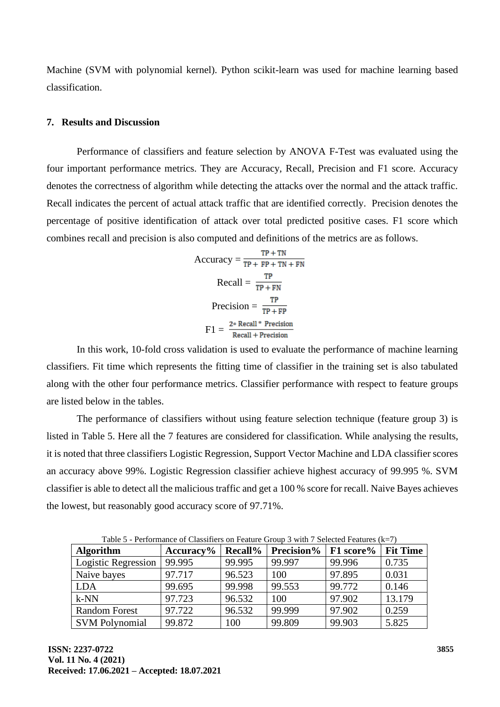Machine (SVM with polynomial kernel). Python scikit-learn was used for machine learning based classification.

#### **7. Results and Discussion**

Performance of classifiers and feature selection by ANOVA F-Test was evaluated using the four important performance metrics. They are Accuracy, Recall, Precision and F1 score. Accuracy denotes the correctness of algorithm while detecting the attacks over the normal and the attack traffic. Recall indicates the percent of actual attack traffic that are identified correctly. Precision denotes the percentage of positive identification of attack over total predicted positive cases. F1 score which combines recall and precision is also computed and definitions of the metrics are as follows.

$$
Accuracy = \frac{TP + TN}{TP + FP + TN + FN}
$$
  
\n
$$
Recall = \frac{TP}{TP + FN}
$$
  
\n
$$
Precision = \frac{TP}{TP + FP}
$$
  
\n
$$
F1 = \frac{2 * Recall * Precision}{Recall + Precision}
$$

In this work, 10-fold cross validation is used to evaluate the performance of machine learning classifiers. Fit time which represents the fitting time of classifier in the training set is also tabulated along with the other four performance metrics. Classifier performance with respect to feature groups are listed below in the tables.

The performance of classifiers without using feature selection technique (feature group 3) is listed in Table 5. Here all the 7 features are considered for classification. While analysing the results, it is noted that three classifiers Logistic Regression, Support Vector Machine and LDA classifier scores an accuracy above 99%. Logistic Regression classifier achieve highest accuracy of 99.995 %. SVM classifier is able to detect all the malicious traffic and get a 100 % score for recall. Naive Bayes achieves the lowest, but reasonably good accuracy score of 97.71%.

| <b>Algorithm</b>      | $Accuracy\%$ | <b>Recall%</b> | <b>Precision</b> %   $F1$ score% |        | <b>Fit Time</b> |
|-----------------------|--------------|----------------|----------------------------------|--------|-----------------|
| Logistic Regression   | 99.995       | 99.995         | 99.997                           | 99.996 | 0.735           |
| Naive bayes           | 97.717       | 96.523         | 100                              | 97.895 | 0.031           |
| <b>LDA</b>            | 99.695       | 99.998         | 99.553                           | 99.772 | 0.146           |
| $k-NN$                | 97.723       | 96.532         | 100                              | 97.902 | 13.179          |
| <b>Random Forest</b>  | 97.722       | 96.532         | 99.999                           | 97.902 | 0.259           |
| <b>SVM Polynomial</b> | 99.872       | 100            | 99.809                           | 99.903 | 5.825           |

Table 5 - Performance of Classifiers on Feature Group 3 with 7 Selected Features (k=7)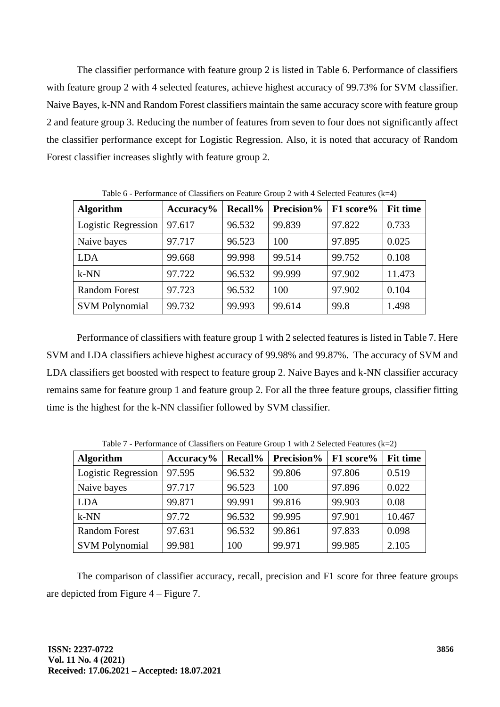The classifier performance with feature group 2 is listed in Table 6. Performance of classifiers with feature group 2 with 4 selected features, achieve highest accuracy of 99.73% for SVM classifier. Naive Bayes, k-NN and Random Forest classifiers maintain the same accuracy score with feature group 2 and feature group 3. Reducing the number of features from seven to four does not significantly affect the classifier performance except for Logistic Regression. Also, it is noted that accuracy of Random Forest classifier increases slightly with feature group 2.

| <b>Algorithm</b>      | $Accuracy\%$ | <b>Recall%</b> | Precision% | F1 score% | <b>Fit time</b> |
|-----------------------|--------------|----------------|------------|-----------|-----------------|
| Logistic Regression   | 97.617       | 96.532         | 99.839     | 97.822    | 0.733           |
| Naive bayes           | 97.717       | 96.523         | 100        | 97.895    | 0.025           |
| <b>LDA</b>            | 99.668       | 99.998         | 99.514     | 99.752    | 0.108           |
| $k-NN$                | 97.722       | 96.532         | 99.999     | 97.902    | 11.473          |
| <b>Random Forest</b>  | 97.723       | 96.532         | 100        | 97.902    | 0.104           |
| <b>SVM Polynomial</b> | 99.732       | 99.993         | 99.614     | 99.8      | 1.498           |

Table 6 - Performance of Classifiers on Feature Group 2 with 4 Selected Features (k=4)

Performance of classifiers with feature group 1 with 2 selected features is listed in Table 7. Here SVM and LDA classifiers achieve highest accuracy of 99.98% and 99.87%. The accuracy of SVM and LDA classifiers get boosted with respect to feature group 2. Naive Bayes and k-NN classifier accuracy remains same for feature group 1 and feature group 2. For all the three feature groups, classifier fitting time is the highest for the k-NN classifier followed by SVM classifier.

| <b>Algorithm</b>      | Accuracy% | <b>Recall%</b> | Precision% | F1 score% | <b>Fit time</b> |
|-----------------------|-----------|----------------|------------|-----------|-----------------|
| Logistic Regression   | 97.595    | 96.532         | 99.806     | 97.806    | 0.519           |
| Naive bayes           | 97.717    | 96.523         | 100        | 97.896    | 0.022           |
| <b>LDA</b>            | 99.871    | 99.991         | 99.816     | 99.903    | 0.08            |
| $k-NN$                | 97.72     | 96.532         | 99.995     | 97.901    | 10.467          |
| <b>Random Forest</b>  | 97.631    | 96.532         | 99.861     | 97.833    | 0.098           |
| <b>SVM Polynomial</b> | 99.981    | 100            | 99.971     | 99.985    | 2.105           |

Table 7 - Performance of Classifiers on Feature Group 1 with 2 Selected Features (k=2)

The comparison of classifier accuracy, recall, precision and F1 score for three feature groups are depicted from Figure 4 – Figure 7.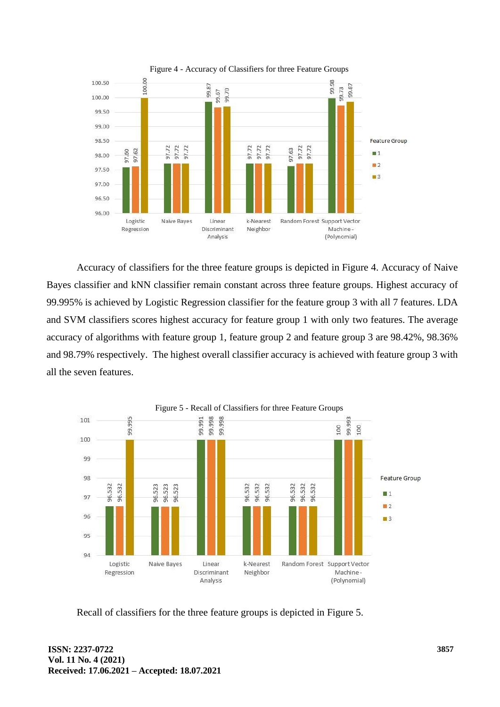

Accuracy of classifiers for the three feature groups is depicted in Figure 4. Accuracy of Naive Bayes classifier and kNN classifier remain constant across three feature groups. Highest accuracy of 99.995% is achieved by Logistic Regression classifier for the feature group 3 with all 7 features. LDA and SVM classifiers scores highest accuracy for feature group 1 with only two features. The average accuracy of algorithms with feature group 1, feature group 2 and feature group 3 are 98.42%, 98.36% and 98.79% respectively. The highest overall classifier accuracy is achieved with feature group 3 with all the seven features.



Recall of classifiers for the three feature groups is depicted in Figure 5.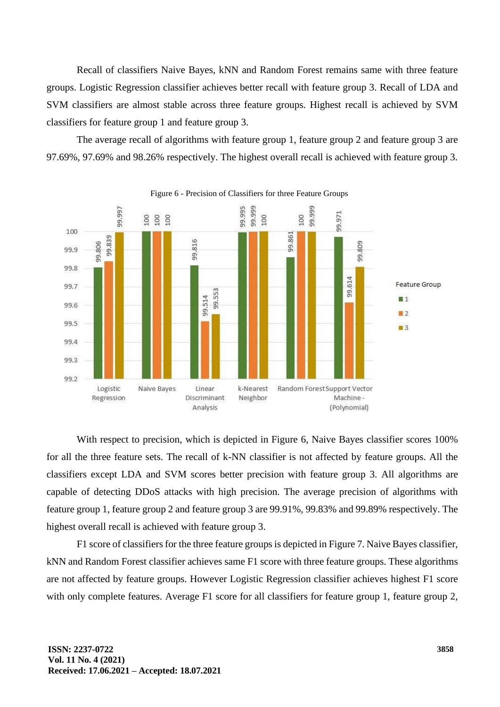Recall of classifiers Naive Bayes, kNN and Random Forest remains same with three feature groups. Logistic Regression classifier achieves better recall with feature group 3. Recall of LDA and SVM classifiers are almost stable across three feature groups. Highest recall is achieved by SVM classifiers for feature group 1 and feature group 3.

The average recall of algorithms with feature group 1, feature group 2 and feature group 3 are 97.69%, 97.69% and 98.26% respectively. The highest overall recall is achieved with feature group 3.



Figure 6 - Precision of Classifiers for three Feature Groups

With respect to precision, which is depicted in Figure 6, Naive Bayes classifier scores 100% for all the three feature sets. The recall of k-NN classifier is not affected by feature groups. All the classifiers except LDA and SVM scores better precision with feature group 3. All algorithms are capable of detecting DDoS attacks with high precision. The average precision of algorithms with feature group 1, feature group 2 and feature group 3 are 99.91%, 99.83% and 99.89% respectively. The highest overall recall is achieved with feature group 3.

F1 score of classifiers for the three feature groups is depicted in Figure 7. Naive Bayes classifier, kNN and Random Forest classifier achieves same F1 score with three feature groups. These algorithms are not affected by feature groups. However Logistic Regression classifier achieves highest F1 score with only complete features. Average F1 score for all classifiers for feature group 1, feature group 2,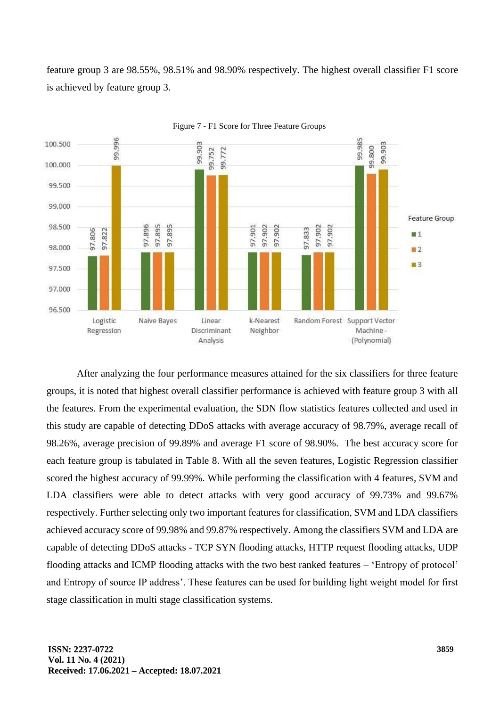feature group 3 are 98.55%, 98.51% and 98.90% respectively. The highest overall classifier F1 score is achieved by feature group 3.



Figure 7 - F1 Score for Three Feature Groups

After analyzing the four performance measures attained for the six classifiers for three feature groups, it is noted that highest overall classifier performance is achieved with feature group 3 with all the features. From the experimental evaluation, the SDN flow statistics features collected and used in this study are capable of detecting DDoS attacks with average accuracy of 98.79%, average recall of 98.26%, average precision of 99.89% and average F1 score of 98.90%. The best accuracy score for each feature group is tabulated in Table 8. With all the seven features, Logistic Regression classifier scored the highest accuracy of 99.99%. While performing the classification with 4 features, SVM and LDA classifiers were able to detect attacks with very good accuracy of 99.73% and 99.67% respectively. Further selecting only two important features for classification, SVM and LDA classifiers achieved accuracy score of 99.98% and 99.87% respectively. Among the classifiers SVM and LDA are capable of detecting DDoS attacks - TCP SYN flooding attacks, HTTP request flooding attacks, UDP flooding attacks and ICMP flooding attacks with the two best ranked features – 'Entropy of protocol' and Entropy of source IP address'. These features can be used for building light weight model for first stage classification in multi stage classification systems.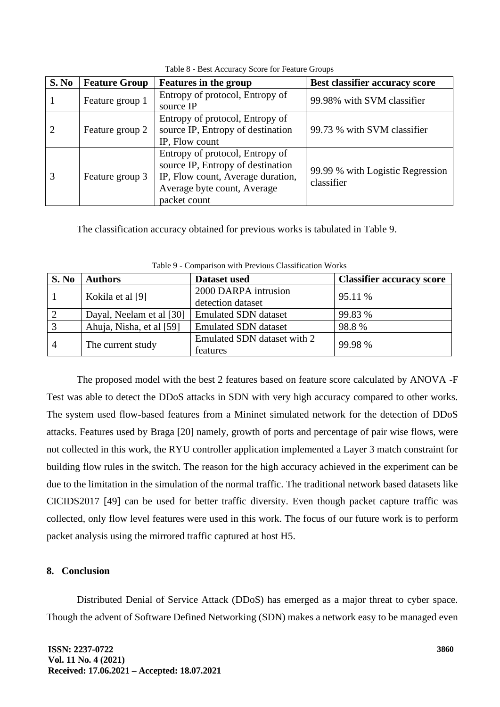| S. No                       | <b>Feature Group</b> | <b>Features in the group</b>                                                                                                                             | Best classifier accuracy score                 |
|-----------------------------|----------------------|----------------------------------------------------------------------------------------------------------------------------------------------------------|------------------------------------------------|
|                             | Feature group 1      | Entropy of protocol, Entropy of<br>source IP                                                                                                             | 99.98% with SVM classifier                     |
| $\mathcal{D}_{\mathcal{L}}$ | Feature group 2      | Entropy of protocol, Entropy of<br>source IP, Entropy of destination<br>IP, Flow count                                                                   | 99.73 % with SVM classifier                    |
|                             | Feature group 3      | Entropy of protocol, Entropy of<br>source IP, Entropy of destination<br>IP, Flow count, Average duration,<br>Average byte count, Average<br>packet count | 99.99 % with Logistic Regression<br>classifier |

Table 8 - Best Accuracy Score for Feature Groups

The classification accuracy obtained for previous works is tabulated in Table 9.

| S. No          | <b>Authors</b>           | Dataset used                              | <b>Classifier accuracy score</b> |
|----------------|--------------------------|-------------------------------------------|----------------------------------|
|                | Kokila et al [9]         | 2000 DARPA intrusion<br>detection dataset | 95.11 %                          |
|                | Dayal, Neelam et al [30] | <b>Emulated SDN</b> dataset               | 99.83 %                          |
|                | Ahuja, Nisha, et al [59] | <b>Emulated SDN</b> dataset               | 98.8%                            |
| $\overline{4}$ | The current study        | Emulated SDN dataset with 2<br>features   | 99.98 %                          |

Table 9 - Comparison with Previous Classification Works

The proposed model with the best 2 features based on feature score calculated by ANOVA -F Test was able to detect the DDoS attacks in SDN with very high accuracy compared to other works. The system used flow-based features from a Mininet simulated network for the detection of DDoS attacks. Features used by Braga [20] namely, growth of ports and percentage of pair wise flows, were not collected in this work, the RYU controller application implemented a Layer 3 match constraint for building flow rules in the switch. The reason for the high accuracy achieved in the experiment can be due to the limitation in the simulation of the normal traffic. The traditional network based datasets like CICIDS2017 [49] can be used for better traffic diversity. Even though packet capture traffic was collected, only flow level features were used in this work. The focus of our future work is to perform packet analysis using the mirrored traffic captured at host H5.

## **8. Conclusion**

Distributed Denial of Service Attack (DDoS) has emerged as a major threat to cyber space. Though the advent of Software Defined Networking (SDN) makes a network easy to be managed even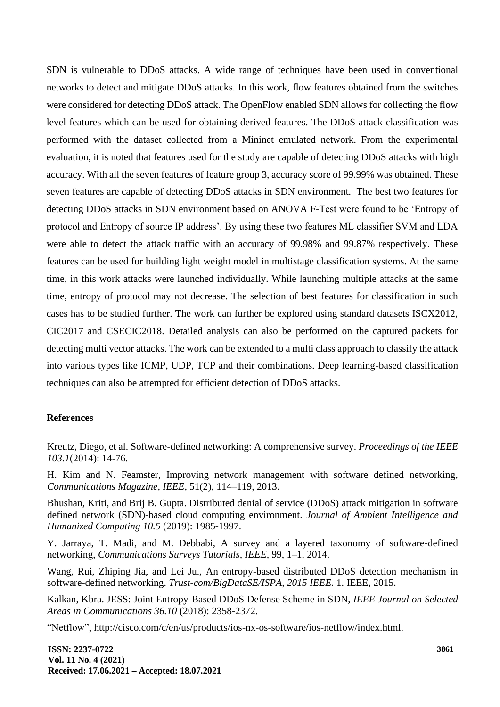SDN is vulnerable to DDoS attacks. A wide range of techniques have been used in conventional networks to detect and mitigate DDoS attacks. In this work, flow features obtained from the switches were considered for detecting DDoS attack. The OpenFlow enabled SDN allows for collecting the flow level features which can be used for obtaining derived features. The DDoS attack classification was performed with the dataset collected from a Mininet emulated network. From the experimental evaluation, it is noted that features used for the study are capable of detecting DDoS attacks with high accuracy. With all the seven features of feature group 3, accuracy score of 99.99% was obtained. These seven features are capable of detecting DDoS attacks in SDN environment. The best two features for detecting DDoS attacks in SDN environment based on ANOVA F-Test were found to be 'Entropy of protocol and Entropy of source IP address'. By using these two features ML classifier SVM and LDA were able to detect the attack traffic with an accuracy of 99.98% and 99.87% respectively. These features can be used for building light weight model in multistage classification systems. At the same time, in this work attacks were launched individually. While launching multiple attacks at the same time, entropy of protocol may not decrease. The selection of best features for classification in such cases has to be studied further. The work can further be explored using standard datasets ISCX2012, CIC2017 and CSECIC2018. Detailed analysis can also be performed on the captured packets for detecting multi vector attacks. The work can be extended to a multi class approach to classify the attack into various types like ICMP, UDP, TCP and their combinations. Deep learning-based classification techniques can also be attempted for efficient detection of DDoS attacks.

## **References**

Kreutz, Diego, et al. Software-defined networking: A comprehensive survey. *Proceedings of the IEEE 103.1*(2014): 14-76.

H. Kim and N. Feamster, Improving network management with software defined networking, *Communications Magazine, IEEE,* 51(2), 114–119, 2013.

Bhushan, Kriti, and Brij B. Gupta. Distributed denial of service (DDoS) attack mitigation in software defined network (SDN)-based cloud computing environment. *Journal of Ambient Intelligence and Humanized Computing 10.5* (2019): 1985-1997.

Y. Jarraya, T. Madi, and M. Debbabi, A survey and a layered taxonomy of software-defined networking, *Communications Surveys Tutorials, IEEE,* 99, 1–1, 2014.

Wang, Rui, Zhiping Jia, and Lei Ju., An entropy-based distributed DDoS detection mechanism in software-defined networking. *Trust-com/BigDataSE/ISPA, 2015 IEEE.* 1. IEEE, 2015.

Kalkan, Kbra. JESS: Joint Entropy-Based DDoS Defense Scheme in SDN, *IEEE Journal on Selected Areas in Communications 36.10* (2018): 2358-2372.

"Netflow", http://cisco.com/c/en/us/products/ios-nx-os-software/ios-netflow/index.html.

**ISSN: 2237-0722 Vol. 11 No. 4 (2021) Received: 17.06.2021 – Accepted: 18.07.2021**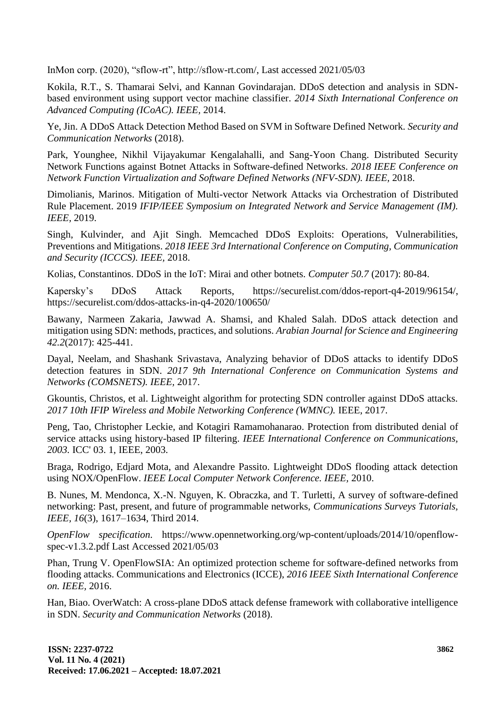InMon corp. (2020), "sflow-rt", http://sflow-rt.com/, Last accessed 2021/05/03

Kokila, R.T., S. Thamarai Selvi, and Kannan Govindarajan. DDoS detection and analysis in SDNbased environment using support vector machine classifier. *2014 Sixth International Conference on Advanced Computing (ICoAC). IEEE,* 2014.

Ye, Jin. A DDoS Attack Detection Method Based on SVM in Software Defined Network. *Security and Communication Networks* (2018).

Park, Younghee, Nikhil Vijayakumar Kengalahalli, and Sang-Yoon Chang. Distributed Security Network Functions against Botnet Attacks in Software-defined Networks. *2018 IEEE Conference on Network Function Virtualization and Software Defined Networks (NFV-SDN). IEEE,* 2018.

Dimolianis, Marinos. Mitigation of Multi-vector Network Attacks via Orchestration of Distributed Rule Placement. 2019 *IFIP/IEEE Symposium on Integrated Network and Service Management (IM). IEEE,* 2019.

Singh, Kulvinder, and Ajit Singh. Memcached DDoS Exploits: Operations, Vulnerabilities, Preventions and Mitigations. *2018 IEEE 3rd International Conference on Computing, Communication and Security (ICCCS). IEEE,* 2018.

Kolias, Constantinos. DDoS in the IoT: Mirai and other botnets. *Computer 50.7* (2017): 80-84.

Kapersky's DDoS Attack Reports, https://securelist.com/ddos-report-q4-2019/96154/, https://securelist.com/ddos-attacks-in-q4-2020/100650/

Bawany, Narmeen Zakaria, Jawwad A. Shamsi, and Khaled Salah. DDoS attack detection and mitigation using SDN: methods, practices, and solutions. *Arabian Journal for Science and Engineering 42.2*(2017): 425-441.

Dayal, Neelam, and Shashank Srivastava, Analyzing behavior of DDoS attacks to identify DDoS detection features in SDN. *2017 9th International Conference on Communication Systems and Networks (COMSNETS). IEEE,* 2017.

Gkountis, Christos, et al. Lightweight algorithm for protecting SDN controller against DDoS attacks. *2017 10th IFIP Wireless and Mobile Networking Conference (WMNC).* IEEE, 2017.

Peng, Tao, Christopher Leckie, and Kotagiri Ramamohanarao. Protection from distributed denial of service attacks using history-based IP filtering. *IEEE International Conference on Communications, 2003.* ICC' 03. 1, IEEE, 2003.

Braga, Rodrigo, Edjard Mota, and Alexandre Passito. Lightweight DDoS flooding attack detection using NOX/OpenFlow. *IEEE Local Computer Network Conference. IEEE,* 2010.

B. Nunes, M. Mendonca, X.-N. Nguyen, K. Obraczka, and T. Turletti, A survey of software-defined networking: Past, present, and future of programmable networks, *Communications Surveys Tutorials, IEEE, 16*(3), 1617–1634, Third 2014.

*OpenFlow specification.* https://www.opennetworking.org/wp-content/uploads/2014/10/openflowspec-v1.3.2.pdf Last Accessed 2021/05/03

Phan, Trung V. OpenFlowSIA: An optimized protection scheme for software-defined networks from flooding attacks. Communications and Electronics (ICCE), *2016 IEEE Sixth International Conference on. IEEE,* 2016.

Han, Biao. OverWatch: A cross-plane DDoS attack defense framework with collaborative intelligence in SDN. *Security and Communication Networks* (2018).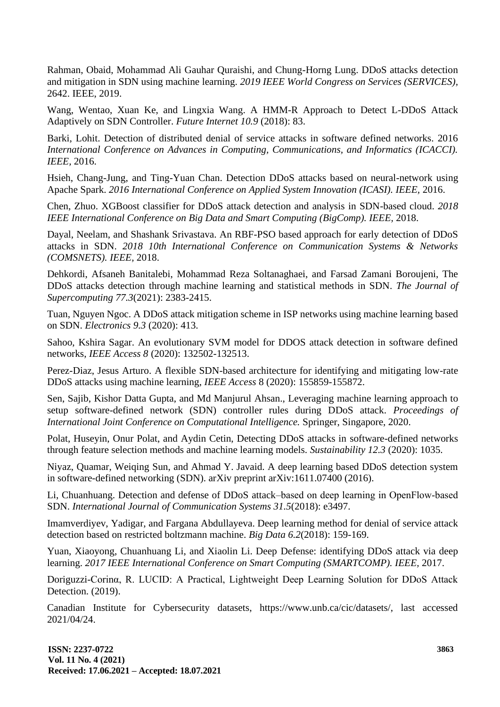Rahman, Obaid, Mohammad Ali Gauhar Quraishi, and Chung-Horng Lung. DDoS attacks detection and mitigation in SDN using machine learning. *2019 IEEE World Congress on Services (SERVICES),* 2642. IEEE, 2019.

Wang, Wentao, Xuan Ke, and Lingxia Wang. A HMM-R Approach to Detect L-DDoS Attack Adaptively on SDN Controller. *Future Internet 10.9* (2018): 83.

Barki, Lohit. Detection of distributed denial of service attacks in software defined networks. 2016 *International Conference on Advances in Computing, Communications, and Informatics (ICACCI). IEEE,* 2016.

Hsieh, Chang-Jung, and Ting-Yuan Chan. Detection DDoS attacks based on neural-network using Apache Spark. *2016 International Conference on Applied System Innovation (ICASI). IEEE,* 2016.

Chen, Zhuo. XGBoost classifier for DDoS attack detection and analysis in SDN-based cloud. *2018 IEEE International Conference on Big Data and Smart Computing (BigComp). IEEE,* 2018.

Dayal, Neelam, and Shashank Srivastava. An RBF-PSO based approach for early detection of DDoS attacks in SDN. *2018 10th International Conference on Communication Systems & Networks (COMSNETS). IEEE,* 2018.

Dehkordi, Afsaneh Banitalebi, Mohammad Reza Soltanaghaei, and Farsad Zamani Boroujeni, The DDoS attacks detection through machine learning and statistical methods in SDN. *The Journal of Supercomputing 77.3*(2021): 2383-2415.

Tuan, Nguyen Ngoc. A DDoS attack mitigation scheme in ISP networks using machine learning based on SDN. *Electronics 9.3* (2020): 413.

Sahoo, Kshira Sagar. An evolutionary SVM model for DDOS attack detection in software defined networks, *IEEE Access 8* (2020): 132502-132513.

Perez-Diaz, Jesus Arturo. A flexible SDN-based architecture for identifying and mitigating low-rate DDoS attacks using machine learning, *IEEE Access* 8 (2020): 155859-155872.

Sen, Sajib, Kishor Datta Gupta, and Md Manjurul Ahsan., Leveraging machine learning approach to setup software-defined network (SDN) controller rules during DDoS attack. *Proceedings of International Joint Conference on Computational Intelligence.* Springer, Singapore, 2020.

Polat, Huseyin, Onur Polat, and Aydin Cetin, Detecting DDoS attacks in software-defined networks through feature selection methods and machine learning models. *Sustainability 12.3* (2020): 1035.

Niyaz, Quamar, Weiqing Sun, and Ahmad Y. Javaid. A deep learning based DDoS detection system in software-defined networking (SDN). arXiv preprint arXiv:1611.07400 (2016).

Li, Chuanhuang. Detection and defense of DDoS attack–based on deep learning in OpenFlow‐based SDN. *International Journal of Communication Systems 31.5*(2018): e3497.

Imamverdiyev, Yadigar, and Fargana Abdullayeva. Deep learning method for denial of service attack detection based on restricted boltzmann machine. *Big Data 6.2*(2018): 159-169.

Yuan, Xiaoyong, Chuanhuang Li, and Xiaolin Li. Deep Defense: identifying DDoS attack via deep learning. *2017 IEEE International Conference on Smart Computing (SMARTCOMP). IEEE,* 2017.

Doriguzzi-Corinα, R. LUCID: A Practical, Lightweight Deep Learning Solution for DDoS Attack Detection. (2019).

Canadian Institute for Cybersecurity datasets, https://www.unb.ca/cic/datasets/, last accessed 2021/04/24.

**ISSN: 2237-0722 Vol. 11 No. 4 (2021) Received: 17.06.2021 – Accepted: 18.07.2021**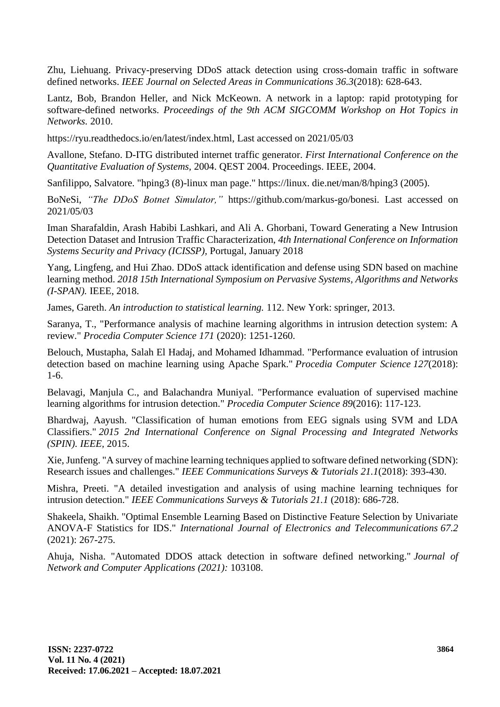Zhu, Liehuang. Privacy-preserving DDoS attack detection using cross-domain traffic in software defined networks. *IEEE Journal on Selected Areas in Communications 36.3*(2018): 628-643.

Lantz, Bob, Brandon Heller, and Nick McKeown. A network in a laptop: rapid prototyping for software-defined networks. *Proceedings of the 9th ACM SIGCOMM Workshop on Hot Topics in Networks.* 2010.

https://ryu.readthedocs.io/en/latest/index.html, Last accessed on 2021/05/03

Avallone, Stefano. D-ITG distributed internet traffic generator. *First International Conference on the Quantitative Evaluation of Systems,* 2004. QEST 2004. Proceedings. IEEE, 2004.

Sanfilippo, Salvatore. "hping3 (8)-linux man page." https://linux. die.net/man/8/hping3 (2005).

BoNeSi, *"The DDoS Botnet Simulator,"* https://github.com/markus-go/bonesi. Last accessed on 2021/05/03

Iman Sharafaldin, Arash Habibi Lashkari, and Ali A. Ghorbani, Toward Generating a New Intrusion Detection Dataset and Intrusion Traffic Characterization, *4th International Conference on Information Systems Security and Privacy (ICISSP),* Portugal, January 2018

Yang, Lingfeng, and Hui Zhao. DDoS attack identification and defense using SDN based on machine learning method. *2018 15th International Symposium on Pervasive Systems, Algorithms and Networks (I-SPAN).* IEEE, 2018.

James, Gareth. *An introduction to statistical learning.* 112. New York: springer, 2013.

Saranya, T., "Performance analysis of machine learning algorithms in intrusion detection system: A review." *Procedia Computer Science 171* (2020): 1251-1260.

Belouch, Mustapha, Salah El Hadaj, and Mohamed Idhammad. "Performance evaluation of intrusion detection based on machine learning using Apache Spark." *Procedia Computer Science 127*(2018): 1-6.

Belavagi, Manjula C., and Balachandra Muniyal. "Performance evaluation of supervised machine learning algorithms for intrusion detection." *Procedia Computer Science 89*(2016): 117-123.

Bhardwaj, Aayush. "Classification of human emotions from EEG signals using SVM and LDA Classifiers." *2015 2nd International Conference on Signal Processing and Integrated Networks (SPIN). IEEE,* 2015.

Xie, Junfeng. "A survey of machine learning techniques applied to software defined networking (SDN): Research issues and challenges." *IEEE Communications Surveys & Tutorials 21.1*(2018): 393-430.

Mishra, Preeti. "A detailed investigation and analysis of using machine learning techniques for intrusion detection." *IEEE Communications Surveys & Tutorials 21.1* (2018): 686-728.

Shakeela, Shaikh. "Optimal Ensemble Learning Based on Distinctive Feature Selection by Univariate ANOVA-F Statistics for IDS." *International Journal of Electronics and Telecommunications 67.2* (2021): 267-275.

Ahuja, Nisha. "Automated DDOS attack detection in software defined networking." *Journal of Network and Computer Applications (2021):* 103108.